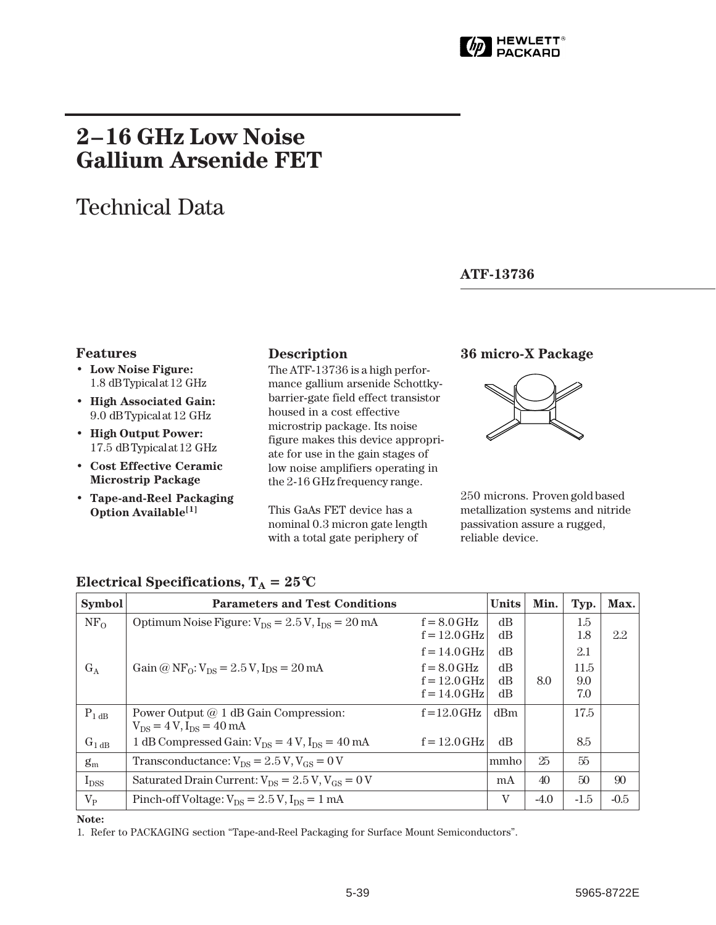

# **2–16 GHz Low Noise Gallium Arsenide FET**

# Technical Data

#### **ATF-13736**

- **Low Noise Figure:** 1.8 dB Typical at 12 GHz
- **High Associated Gain:** 9.0 dB Typical at 12 GHz
- **High Output Power:** 17.5␣ dB Typical at 12␣ GHz
- **Cost Effective Ceramic Microstrip Package**
- **Tape-and-Reel Packaging Option Available[1]**

#### **Description**

The ATF-13736 is a high performance gallium arsenide Schottkybarrier-gate field effect transistor housed in a cost effective microstrip package. Its noise figure makes this device appropriate for use in the gain stages of low noise amplifiers operating in the 2-16 GHz frequency range.

This GaAs FET device has a nominal 0.3 micron gate length with a total gate periphery of

### **Features 36 micro-X Package**



250␣ microns. Proven gold based metallization systems and nitride passivation assure a rugged, reliable device.

| <b>Symbol</b>   | <b>Parameters and Test Conditions</b>                      | <b>Units</b>   | Min. | Typ.   | Max.   |        |
|-----------------|------------------------------------------------------------|----------------|------|--------|--------|--------|
| NF <sub>0</sub> | Optimum Noise Figure: $V_{DS} = 2.5 V$ , $I_{DS} = 20 mA$  | $f = 8.0$ GHz  | dB   |        | 1.5    |        |
|                 |                                                            | $f = 12.0$ GHz | dB   |        | 1.8    | 2.2    |
|                 |                                                            | $f = 14.0$ GHz | dB   |        | 2.1    |        |
| $G_A$           | Gain @ $NF_0$ : $V_{DS} = 2.5 V$ , $I_{DS} = 20 mA$        | $f = 8.0$ GHz  | dB   |        | 11.5   |        |
|                 |                                                            | $f = 12.0$ GHz | dB   | 8.0    | 9.0    |        |
|                 |                                                            | $f = 14.0$ GHz | dB   |        | 7.0    |        |
| $P_{1 dB}$      | Power Output $@1$ dB Gain Compression:                     | $f = 12.0$ GHz | dBm  |        | 17.5   |        |
|                 | $V_{DS} = 4 V$ , $I_{DS} = 40$ mA                          |                |      |        |        |        |
| $G_{1 dB}$      | 1 dB Compressed Gain: $V_{DS} = 4 V$ , $I_{DS} = 40$ mA    | $f = 12.0$ GHz | dB   |        | 8.5    |        |
| $g_m$           | Transconductance: $V_{DS} = 2.5 V$ , $V_{GS} = 0 V$        |                | mmho | 25     | 55     |        |
| $I_{DSS}$       | Saturated Drain Current: $V_{DS} = 2.5 V$ , $V_{GS} = 0 V$ |                | mA   | 40     | 50     | 90     |
| $V_{P}$         | Pinch-off Voltage: $V_{DS} = 2.5 V$ , $I_{DS} = 1 mA$      |                | V    | $-4.0$ | $-1.5$ | $-0.5$ |

### **Electrical Specifications,**  $T_A = 25^{\circ}C$

#### **Note:**

1. Refer to PACKAGING section "Tape-and-Reel Packaging for Surface Mount Semiconductors".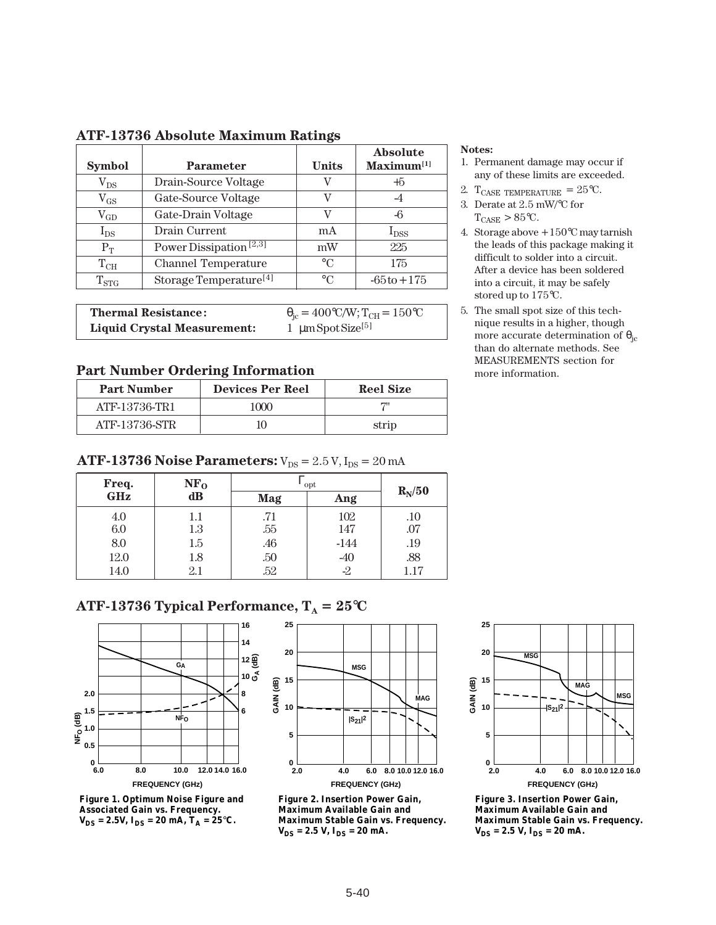| <b>Symbol</b> | <b>Parameter</b>                   | <b>Units</b> | Absolute<br>Maximum <sup>[1]</sup> |
|---------------|------------------------------------|--------------|------------------------------------|
| $\rm V_{DS}$  | Drain-Source Voltage               | V            | $+5$                               |
| $\rm V_{GS}$  | Gate-Source Voltage                | v            | -4                                 |
| $\rm V_{GD}$  | Gate-Drain Voltage                 | V            | -6                                 |
| $I_{DS}$      | Drain Current                      | mA           | $I_{DSS}$                          |
| $P_T$         | Power Dissipation <sup>[2,3]</sup> | mW           | 225                                |
| $T_{CH}$      | <b>Channel Temperature</b>         | $\circ$ C    | 175                                |
| $T_{STG}$     | Storage Temperature <sup>[4]</sup> | $\circ$ C    | $-65t0 + 175$                      |

#### **ATF-13736 Absolute Maximum Ratings**

| <b>Thermal Resistance:</b>  | $\theta_{\rm ic} = 400\,^{\circ}\text{C/W};$ $T_{\rm CH} = 150\,^{\circ}\text{C}$ |
|-----------------------------|-----------------------------------------------------------------------------------|
| Liquid Crystal Measurement: | 1 $\mu$ m Spot Size <sup>[5]</sup>                                                |

#### **Part Number Ordering Information** more information.

| <b>Part Number</b> | <b>Devices Per Reel</b> | <b>Reel Size</b> |  |  |
|--------------------|-------------------------|------------------|--|--|
| ATF-13736-TR1      | 1000                    | <b>1711</b>      |  |  |
| ATF-13736-STR      |                         | strip            |  |  |

#### **ATF-13736 Noise Parameters:**  $V_{DS} = 2.5 V$ ,  $I_{DS} = 20 mA$

| Freq.      | NF <sub>0</sub> | opt |        |          |
|------------|-----------------|-----|--------|----------|
| <b>GHz</b> | dB              | Mag | Ang    | $R_N/50$ |
| 4.0        | $1.1\,$         | .71 | 102    | .10      |
| 6.0        | 1.3             | .55 | 147    | .07      |
| 8.0        | 1.5             | .46 | $-144$ | .19      |
| 12.0       | 1.8             | .50 | $-40$  | .88      |
| 14.0       | $2.1\,$         | .52 | $-2$   | 1.17     |

## **ATF-13736 Typical Performance,**  $T_A = 25^{\circ}C$



**Figure 1. Optimum Noise Figure and Associated Gain vs. Frequency.**  $V_{DS} = 2.5V$ ,  $I_{DS} = 20$  mA,  $T_A = 25$ °C.



**Figure 2. Insertion Power Gain, Maximum Available Gain and Maximum Stable Gain vs. Frequency.**   $V_{DS} = 2.5 V, I_{DS} = 20 mA.$ 

#### **FREQUENCY (GHz) GAIN (dB) |S21|2 MSG MSG MAG 2.0 4.0 6.0 8.0 10.0 12.0 16.0 25 20 15 10 5 0**

**Figure 3. Insertion Power Gain, Maximum Available Gain and Maximum Stable Gain vs. Frequency.**   $V_{DS} = 2.5 V, I_{DS} = 20 mA.$ 

#### **Notes:**

- 1. Permanent damage may occur if any of these limits are exceeded.
- 2. T<sub>CASE</sub> TEMPERATURE =  $25^{\circ}$ C.
- 3. Derate at 2.5 mW/°C for  $T_{CASE}$  > 85 $\degree$ C.
- 4. Storage above +150°C may tarnish the leads of this package making it difficult to solder into a circuit. After a device has been soldered into a circuit, it may be safely stored up to 175°C.
- 5. The small spot size of this technique results in a higher, though more accurate determination of  $\theta_{\text{ic}}$ than do alternate methods. See MEASUREMENTS section for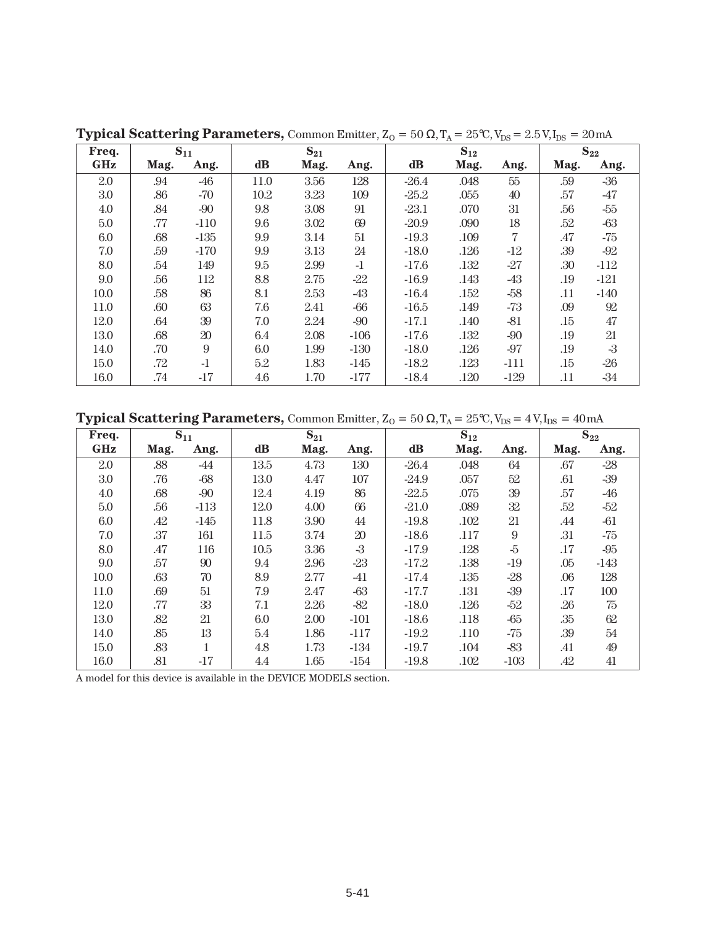| Freq. |      | $S_{11}$ |          | $S_{21}$ |        | $S_{12}$      |      |        | $S_{22}$ |        |
|-------|------|----------|----------|----------|--------|---------------|------|--------|----------|--------|
| GHz   | Mag. | Ang.     | $\bf dB$ | Mag.     | Ang.   | $\mathbf{dB}$ | Mag. | Ang.   | Mag.     | Ang.   |
| 2.0   | .94  | $-46$    | 11.0     | 3.56     | 128    | $-26.4$       | .048 | 55     | .59      | $-36$  |
| 3.0   | .86  | $-70$    | 10.2     | 3.23     | 109    | $-25.2$       | .055 | 40     | .57      | $-47$  |
| 4.0   | .84  | $-90$    | 9.8      | 3.08     | 91     | $-23.1$       | .070 | 31     | .56      | $-55$  |
| 5.0   | .77  | $-110$   | 9.6      | 3.02     | 69     | $-20.9$       | .090 | 18     | .52      | $-63$  |
| 6.0   | .68  | $-135$   | 9.9      | 3.14     | 51     | $-19.3$       | .109 | 7      | .47      | -75    |
| 7.0   | .59  | $-170$   | 9.9      | 3.13     | 24     | $-18.0$       | .126 | $-12$  | .39      | $-92$  |
| 8.0   | .54  | 149      | 9.5      | 2.99     | $-1$   | $-17.6$       | .132 | $-27$  | .30      | $-112$ |
| 9.0   | .56  | 112      | 8.8      | 2.75     | $-22$  | $-16.9$       | .143 | -43    | .19      | $-121$ |
| 10.0  | .58  | 86       | 8.1      | 2.53     | $-43$  | $-16.4$       | .152 | $-58$  | .11      | $-140$ |
| 11.0  | .60  | 63       | 7.6      | 2.41     | $-66$  | $-16.5$       | .149 | $-73$  | .09      | 92     |
| 12.0  | .64  | 39       | 7.0      | 2.24     | $-90$  | $-17.1$       | .140 | $-81$  | .15      | 47     |
| 13.0  | .68  | 20       | 6.4      | 2.08     | $-106$ | $-17.6$       | .132 | -90    | .19      | 21     |
| 14.0  | .70  | 9        | 6.0      | 1.99     | $-130$ | $-18.0$       | .126 | $-97$  | .19      | $-3$   |
| 15.0  | .72  | $-1$     | 5.2      | 1.83     | $-145$ | $-18.2$       | .123 | $-111$ | .15      | $-26$  |
| 16.0  | .74  | $-17$    | 4.6      | 1.70     | $-177$ | $-18.4$       | .120 | $-129$ | .11      | -34    |

**Typical Scattering Parameters, Common Emitter,**  $Z_0 = 50 \Omega$ **,**  $T_A = 25 \text{°C}$ **,**  $V_{DS} = 2.5 \text{ V}$ **,**  $I_{DS} = 20 \text{ mA}$ 

**Typical Scattering Parameters,** Common Emitter,  $Z_0 = 50 \Omega$ ,  $T_A = 25 \text{°C}$ ,  $V_{DS} = 4 \text{V}$ ,  $I_{DS} = 40 \text{ mA}$ 

| Freq.      |      | $S_{11}$     |               | $S_{21}$ |        | $S_{12}$ |      |                | $S_{22}$ |        |
|------------|------|--------------|---------------|----------|--------|----------|------|----------------|----------|--------|
| <b>GHz</b> | Mag. | Ang.         | $\mathbf{dB}$ | Mag.     | Ang.   | dB       | Mag. | Ang.           | Mag.     | Ang.   |
| 2.0        | .88  | -44          | 13.5          | 4.73     | 130    | $-26.4$  | .048 | 64             | .67      | $-28$  |
| 3.0        | .76  | $-68$        | 13.0          | 4.47     | 107    | $-24.9$  | .057 | 52             | .61      | $-39$  |
| 4.0        | .68  | $-90$        | 12.4          | 4.19     | 86     | $-22.5$  | .075 | 39             | .57      | -46    |
| 5.0        | .56  | $-113$       | 12.0          | 4.00     | 66     | $-21.0$  | .089 | 32             | .52      | $-52$  |
| 6.0        | .42  | $-145$       | 11.8          | 3.90     | 44     | $-19.8$  | .102 | 21             | .44      | $-61$  |
| 7.0        | .37  | 161          | 11.5          | 3.74     | $20\,$ | $-18.6$  | .117 | $\overline{9}$ | .31      | $-75$  |
| 8.0        | .47  | 116          | 10.5          | 3.36     | $-3$   | $-17.9$  | .128 | $-5$           | .17      | $-95$  |
| 9.0        | .57  | 90           | 9.4           | 2.96     | $-23$  | $-17.2$  | .138 | $-19$          | .05      | $-143$ |
| 10.0       | .63  | 70           | 8.9           | 2.77     | $-41$  | $-17.4$  | .135 | $-28$          | .06      | 128    |
| 11.0       | .69  | 51           | 7.9           | 2.47     | $-63$  | $-17.7$  | .131 | $-39$          | .17      | 100    |
| 12.0       | .77  | 33           | 7.1           | 2.26     | $-82$  | $-18.0$  | .126 | $-52$          | .26      | 75     |
| 13.0       | .82  | 21           | 6.0           | 2.00     | $-101$ | $-18.6$  | .118 | -65            | .35      | $62\,$ |
| 14.0       | .85  | 13           | 5.4           | 1.86     | $-117$ | $-19.2$  | .110 | -75            | .39      | 54     |
| 15.0       | .83  | $\mathbf{1}$ | 4.8           | 1.73     | $-134$ | $-19.7$  | .104 | $-83$          | .41      | 49     |
| 16.0       | .81  | $-17$        | 4.4           | 1.65     | $-154$ | $-19.8$  | .102 | $-103$         | .42      | 41     |

A model for this device is available in the DEVICE MODELS section.